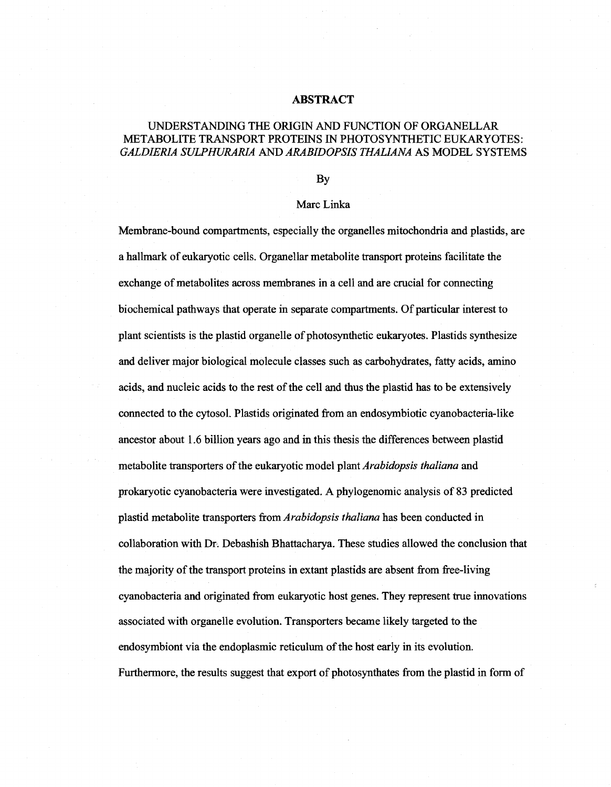## **ABSTRACT**

## UNDERSTANDING THE ORIGIN AND FUNCTION OF ORGANELLAR METABOLITE TRANSPORT PROTEINS IN PHOTOSYNTHETIC EUKARYOTES: *GALDIER1A SULPHURARIA* AND *ARABIDOPSIS THALIANA* AS MODEL SYSTEMS

## By

## Marc Linka

Membrane-bound compartments, especially the organelles mitochondria and plastids, are a hallmark of eukaryotic cells. Organellar metabolite transport proteins facilitate the exchange of metabolites across membranes in a cell and are crucial for connecting biochemical pathways that operate in separate compartments. Of particular interest to plant scientists is the plastid organelle of photosynthetic eukaryotes. Plastids synthesize and deliver major biological molecule classes such as carbohydrates, fatty acids, amino acids, and nucleic acids to the rest of the cell and thus the plastid has to be extensively connected to the cytosol. Plastids originated from an endosymbiotic cyanobacteria-like ancestor about 1.6 billion years ago and in this thesis the differences between plastid metabolite transporters of the eukaryotic model plant *Arabidopsis thaliana* and prokaryotic cyanobacteria were investigated. A phylogenomic analysis of 83 predicted plastid metabolite transporters from *Arabidopsis thaliana* has been conducted in collaboration with Dr. Debashish Bhattacharya. These studies allowed the conclusion that the majority of the transport proteins in extant plastids are absent from free-living cyanobacteria and originated from eukaryotic host genes. They represent true innovations associated with organelle evolution. Transporters became likely targeted to the endosymbiont via the endoplasmic reticulum of the host early in its evolution. Furthermore, the results suggest that export of photosynthates from the plastid in form of